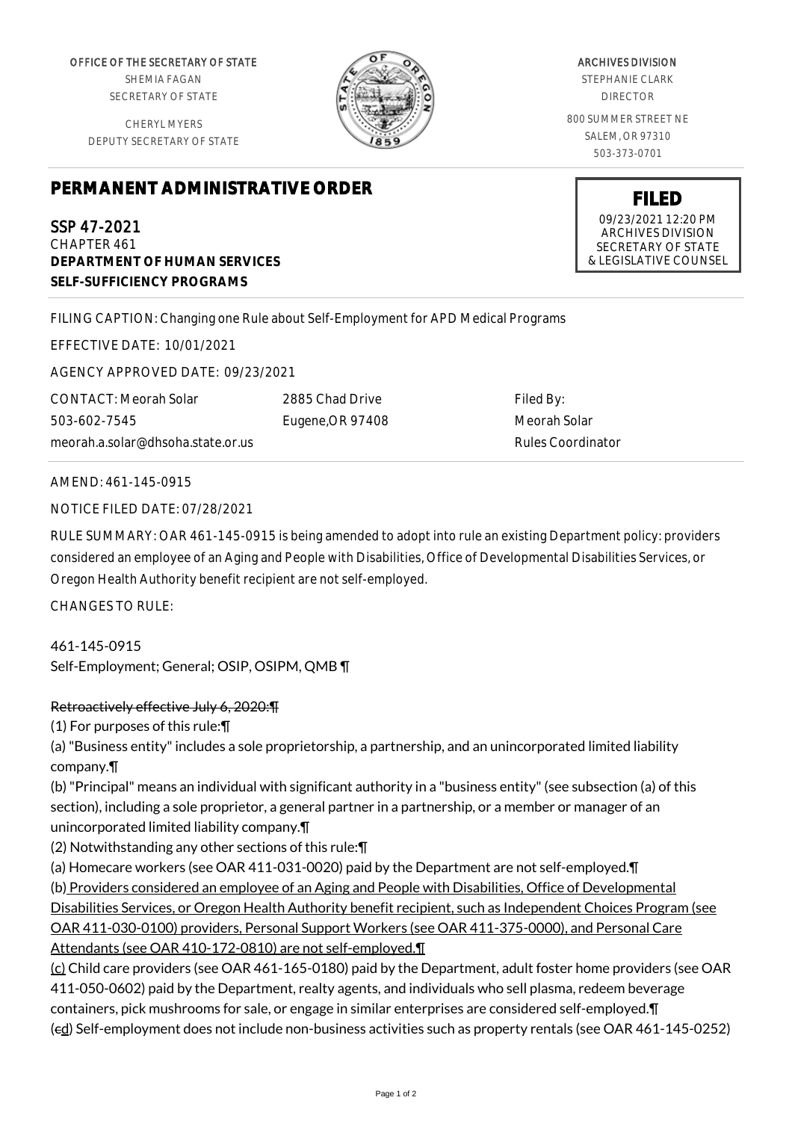OFFICE OF THE SECRETARY OF STATE SHEMIA FAGAN SECRETARY OF STATE

CHERYL MYERS DEPUTY SECRETARY OF STATE



ARCHIVES DIVISION

STEPHANIE CLARK DIRECTOR

800 SUMMER STREET NE SALEM, OR 97310 503-373-0701

> **FILED** 09/23/2021 12:20 PM ARCHIVES DIVISION SECRETARY OF STATE & LEGISLATIVE COUNSEL

## **PERMANENT ADMINISTRATIVE ORDER**

SSP 47-2021 CHAPTER 461 **DEPARTMENT OF HUMAN SERVICES SELF-SUFFICIENCY PROGRAMS**

FILING CAPTION: Changing one Rule about Self-Employment for APD Medical Programs

EFFECTIVE DATE: 10/01/2021

AGENCY APPROVED DATE: 09/23/2021

CONTACT: Meorah Solar 503-602-7545 meorah.a.solar@dhsoha.state.or.us 2885 Chad Drive Eugene,OR 97408

Filed By: Meorah Solar Rules Coordinator

AMEND: 461-145-0915

NOTICE FILED DATE: 07/28/2021

RULE SUMMARY: OAR 461-145-0915 is being amended to adopt into rule an existing Department policy: providers considered an employee of an Aging and People with Disabilities, Office of Developmental Disabilities Services, or Oregon Health Authority benefit recipient are not self-employed.

CHANGES TO RULE:

461-145-0915 Self-Employment; General; OSIP, OSIPM, QMB ¶

## Retroactively effective July 6, 2020:¶

(1) For purposes of this rule:¶

(a) "Business entity" includes a sole proprietorship, a partnership, and an unincorporated limited liability company.¶

(b) "Principal" means an individual with significant authority in a "business entity" (see subsection (a) of this section), including a sole proprietor, a general partner in a partnership, or a member or manager of an unincorporated limited liability company.¶

(2) Notwithstanding any other sections of this rule:¶

(a) Homecare workers (see OAR 411-031-0020) paid by the Department are not self-employed.¶ (b) Providers considered an employee of an Aging and People with Disabilities, Office of Developmental Disabilities Services, or Oregon Health Authority benefit recipient, such as Independent Choices Program (see OAR 411-030-0100) providers, Personal Support Workers (see OAR 411-375-0000), and Personal Care Attendants (see OAR 410-172-0810) are not self-employed.¶

(c) Child care providers (see OAR 461-165-0180) paid by the Department, adult foster home providers (see OAR 411-050-0602) paid by the Department, realty agents, and individuals who sell plasma, redeem beverage containers, pick mushrooms for sale, or engage in similar enterprises are considered self-employed.¶ (cd) Self-employment does not include non-business activities such as property rentals (see OAR 461-145-0252)